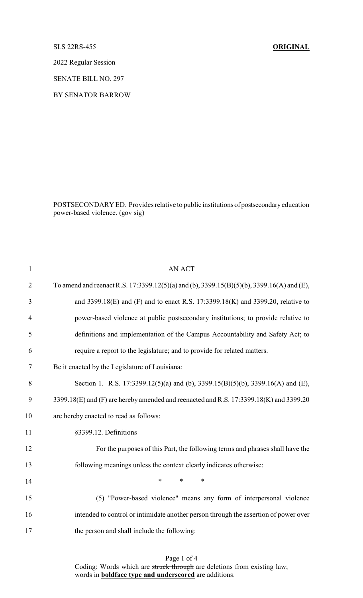## SLS 22RS-455 **ORIGINAL**

2022 Regular Session

SENATE BILL NO. 297

BY SENATOR BARROW

POSTSECONDARY ED. Provides relative to public institutions of postsecondaryeducation power-based violence. (gov sig)

| $\mathbf{1}$   | <b>AN ACT</b>                                                                             |
|----------------|-------------------------------------------------------------------------------------------|
| $\overline{2}$ | To amend and reenact R.S. 17:3399.12(5)(a) and (b), 3399.15(B)(5)(b), 3399.16(A) and (E), |
| 3              | and 3399.18(E) and (F) and to enact R.S. 17:3399.18(K) and 3399.20, relative to           |
| $\overline{4}$ | power-based violence at public postsecondary institutions; to provide relative to         |
| 5              | definitions and implementation of the Campus Accountability and Safety Act; to            |
| 6              | require a report to the legislature; and to provide for related matters.                  |
| 7              | Be it enacted by the Legislature of Louisiana:                                            |
| 8              | Section 1. R.S. 17:3399.12(5)(a) and (b), 3399.15(B)(5)(b), 3399.16(A) and (E),           |
| 9              | 3399.18(E) and (F) are hereby amended and reenacted and R.S. 17:3399.18(K) and 3399.20    |
| 10             | are hereby enacted to read as follows:                                                    |
| 11             | §3399.12. Definitions                                                                     |
| 12             | For the purposes of this Part, the following terms and phrases shall have the             |
| 13             | following meanings unless the context clearly indicates otherwise:                        |
| 14             | *<br>$\ast$<br>*                                                                          |
| 15             | (5) "Power-based violence" means any form of interpersonal violence                       |
| 16             | intended to control or intimidate another person through the assertion of power over      |
| 17             | the person and shall include the following:                                               |
|                |                                                                                           |

## Page 1 of 4

Coding: Words which are struck through are deletions from existing law; words in **boldface type and underscored** are additions.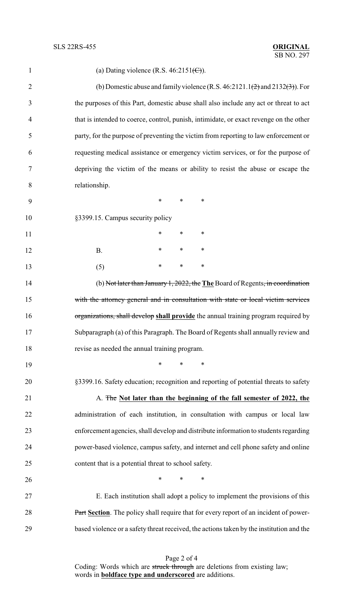| $\mathbf{1}$   | (a) Dating violence (R.S. $46:2151\text{ (C)}$ ).                                                |
|----------------|--------------------------------------------------------------------------------------------------|
| $\overline{2}$ | (b) Domestic abuse and family violence (R.S. $46:2121.1\text{ (2)}$ and $2132\text{ (3)}$ ). For |
| 3              | the purposes of this Part, domestic abuse shall also include any act or threat to act            |
| $\overline{4}$ | that is intended to coerce, control, punish, intimidate, or exact revenge on the other           |
| 5              | party, for the purpose of preventing the victim from reporting to law enforcement or             |
| 6              | requesting medical assistance or emergency victim services, or for the purpose of                |
| 7              | depriving the victim of the means or ability to resist the abuse or escape the                   |
| 8              | relationship.                                                                                    |
| 9              | *<br>$\ast$<br>∗                                                                                 |
| 10             | §3399.15. Campus security policy                                                                 |
| 11             | $\ast$<br>∗<br>∗                                                                                 |
| 12             | $\ast$<br>$\ast$<br>∗<br><b>B.</b>                                                               |
| 13             | *<br>$\ast$<br>$\ast$<br>(5)                                                                     |
| 14             | (b) Not later than January 1, 2022, the The Board of Regents, in coordination                    |
| 15             | with the attorney general and in consultation with state or local victim services                |
| 16             | organizations, shall develop shall provide the annual training program required by               |
| 17             | Subparagraph (a) of this Paragraph. The Board of Regents shall annually review and               |
| 18             | revise as needed the annual training program.                                                    |
| 19             | $\ast$<br>$\ast$<br>∗                                                                            |
| 20             | §3399.16. Safety education; recognition and reporting of potential threats to safety             |
| 21             | A. The Not later than the beginning of the fall semester of 2022, the                            |
| 22             | administration of each institution, in consultation with campus or local law                     |
| 23             | enforcement agencies, shall develop and distribute information to students regarding             |
| 24             | power-based violence, campus safety, and internet and cell phone safety and online               |
| 25             | content that is a potential threat to school safety.                                             |
| 26             | $\ast$<br>∗<br>∗                                                                                 |
| 27             | E. Each institution shall adopt a policy to implement the provisions of this                     |
| 28             | Part Section. The policy shall require that for every report of an incident of power-            |
| 29             | based violence or a safety threat received, the actions taken by the institution and the         |

Page 2 of 4 Coding: Words which are struck through are deletions from existing law; words in **boldface type and underscored** are additions.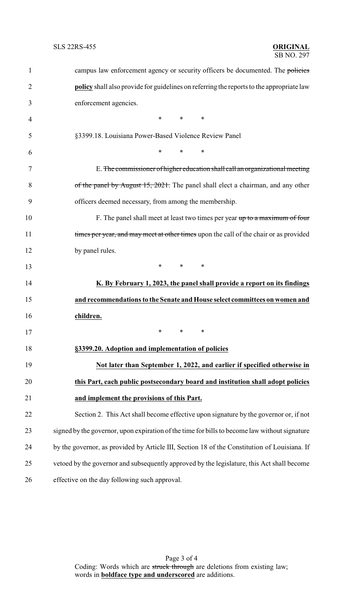| $\mathbf{1}$   | campus law enforcement agency or security officers be documented. The policies                  |
|----------------|-------------------------------------------------------------------------------------------------|
| $\overline{2}$ | <b>policy</b> shall also provide for guidelines on referring the reports to the appropriate law |
| 3              | enforcement agencies.                                                                           |
| 4              | $\ast$<br>$*$ and $*$<br>∗                                                                      |
| 5              | §3399.18. Louisiana Power-Based Violence Review Panel                                           |
| 6              | $\ast$<br>$\ast$<br>$\ast$                                                                      |
| 7              | E. The commissioner of higher education shall call an organizational meeting                    |
| 8              | of the panel by August 15, 2021. The panel shall elect a chairman, and any other                |
| 9              | officers deemed necessary, from among the membership.                                           |
| 10             | F. The panel shall meet at least two times per year up to a maximum of four                     |
| 11             | times per year, and may meet at other times upon the call of the chair or as provided           |
| 12             | by panel rules.                                                                                 |
| 13             | $\ast$<br>$\ast$<br>$\ast$                                                                      |
| 14             | K. By February 1, 2023, the panel shall provide a report on its findings                        |
| 15             | and recommendations to the Senate and House select committees on women and                      |
| 16             | children.                                                                                       |
| 17             | $\stackrel{\star}{\ast}$ $\stackrel{\star}{\ast}$ $\stackrel{\star}{\ast}$                      |
| 18             | §3399.20. Adoption and implementation of policies                                               |
| 19             | Not later than September 1, 2022, and earlier if specified otherwise in                         |
| 20             | this Part, each public postsecondary board and institution shall adopt policies                 |
| 21             | and implement the provisions of this Part.                                                      |
| 22             | Section 2. This Act shall become effective upon signature by the governor or, if not            |
| 23             | signed by the governor, upon expiration of the time for bills to become law without signature   |
| 24             | by the governor, as provided by Article III, Section 18 of the Constitution of Louisiana. If    |
| 25             | vetoed by the governor and subsequently approved by the legislature, this Act shall become      |
| 26             | effective on the day following such approval.                                                   |